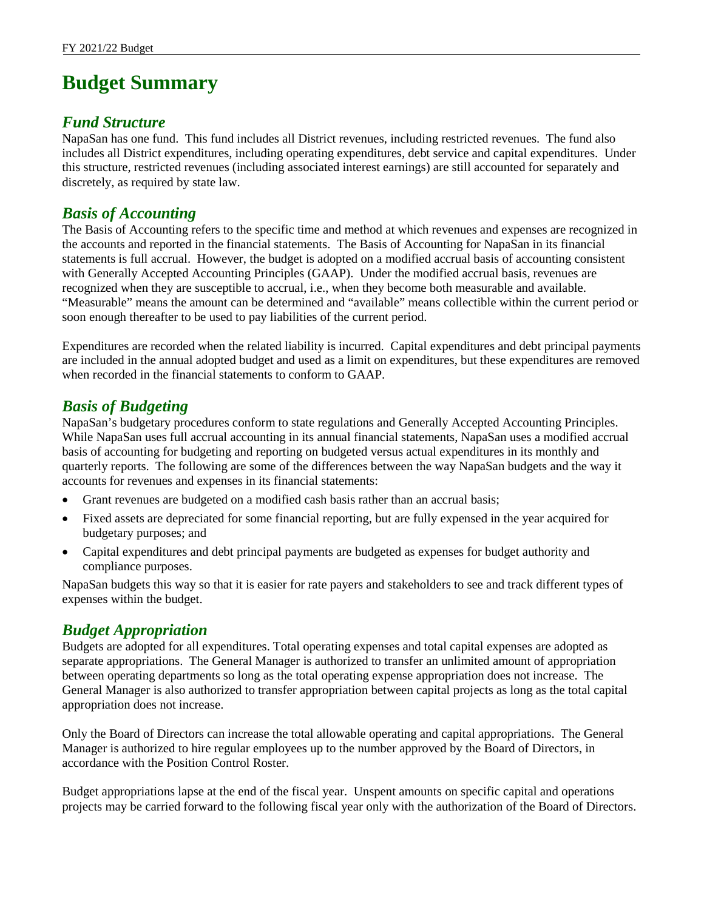# **Budget Summary**

## *Fund Structure*

NapaSan has one fund. This fund includes all District revenues, including restricted revenues. The fund also includes all District expenditures, including operating expenditures, debt service and capital expenditures. Under this structure, restricted revenues (including associated interest earnings) are still accounted for separately and discretely, as required by state law.

# *Basis of Accounting*

The Basis of Accounting refers to the specific time and method at which revenues and expenses are recognized in the accounts and reported in the financial statements. The Basis of Accounting for NapaSan in its financial statements is full accrual. However, the budget is adopted on a modified accrual basis of accounting consistent with Generally Accepted Accounting Principles (GAAP). Under the modified accrual basis, revenues are recognized when they are susceptible to accrual, i.e., when they become both measurable and available. "Measurable" means the amount can be determined and "available" means collectible within the current period or soon enough thereafter to be used to pay liabilities of the current period.

Expenditures are recorded when the related liability is incurred. Capital expenditures and debt principal payments are included in the annual adopted budget and used as a limit on expenditures, but these expenditures are removed when recorded in the financial statements to conform to GAAP.

# *Basis of Budgeting*

NapaSan's budgetary procedures conform to state regulations and Generally Accepted Accounting Principles. While NapaSan uses full accrual accounting in its annual financial statements, NapaSan uses a modified accrual basis of accounting for budgeting and reporting on budgeted versus actual expenditures in its monthly and quarterly reports. The following are some of the differences between the way NapaSan budgets and the way it accounts for revenues and expenses in its financial statements:

- Grant revenues are budgeted on a modified cash basis rather than an accrual basis;
- Fixed assets are depreciated for some financial reporting, but are fully expensed in the year acquired for budgetary purposes; and
- Capital expenditures and debt principal payments are budgeted as expenses for budget authority and compliance purposes.

NapaSan budgets this way so that it is easier for rate payers and stakeholders to see and track different types of expenses within the budget.

# *Budget Appropriation*

Budgets are adopted for all expenditures. Total operating expenses and total capital expenses are adopted as separate appropriations. The General Manager is authorized to transfer an unlimited amount of appropriation between operating departments so long as the total operating expense appropriation does not increase. The General Manager is also authorized to transfer appropriation between capital projects as long as the total capital appropriation does not increase.

Only the Board of Directors can increase the total allowable operating and capital appropriations. The General Manager is authorized to hire regular employees up to the number approved by the Board of Directors, in accordance with the Position Control Roster.

Budget appropriations lapse at the end of the fiscal year. Unspent amounts on specific capital and operations projects may be carried forward to the following fiscal year only with the authorization of the Board of Directors.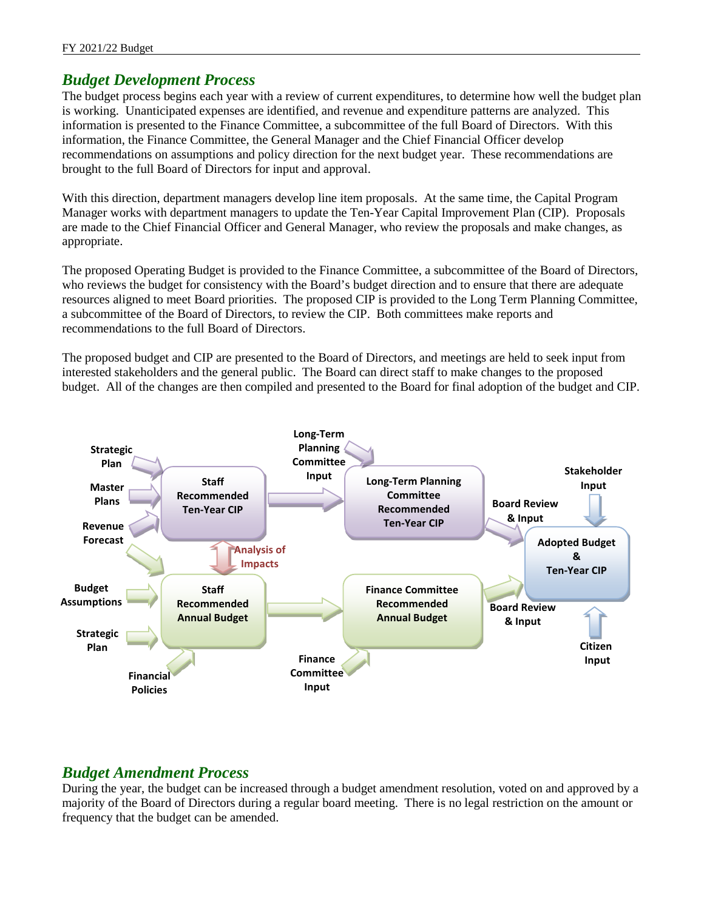# *Budget Development Process*

The budget process begins each year with a review of current expenditures, to determine how well the budget plan is working. Unanticipated expenses are identified, and revenue and expenditure patterns are analyzed. This information is presented to the Finance Committee, a subcommittee of the full Board of Directors. With this information, the Finance Committee, the General Manager and the Chief Financial Officer develop recommendations on assumptions and policy direction for the next budget year. These recommendations are brought to the full Board of Directors for input and approval.

With this direction, department managers develop line item proposals. At the same time, the Capital Program Manager works with department managers to update the Ten-Year Capital Improvement Plan (CIP). Proposals are made to the Chief Financial Officer and General Manager, who review the proposals and make changes, as appropriate.

The proposed Operating Budget is provided to the Finance Committee, a subcommittee of the Board of Directors, who reviews the budget for consistency with the Board's budget direction and to ensure that there are adequate resources aligned to meet Board priorities. The proposed CIP is provided to the Long Term Planning Committee, a subcommittee of the Board of Directors, to review the CIP. Both committees make reports and recommendations to the full Board of Directors.

The proposed budget and CIP are presented to the Board of Directors, and meetings are held to seek input from interested stakeholders and the general public. The Board can direct staff to make changes to the proposed budget. All of the changes are then compiled and presented to the Board for final adoption of the budget and CIP.



# *Budget Amendment Process*

During the year, the budget can be increased through a budget amendment resolution, voted on and approved by a majority of the Board of Directors during a regular board meeting. There is no legal restriction on the amount or frequency that the budget can be amended.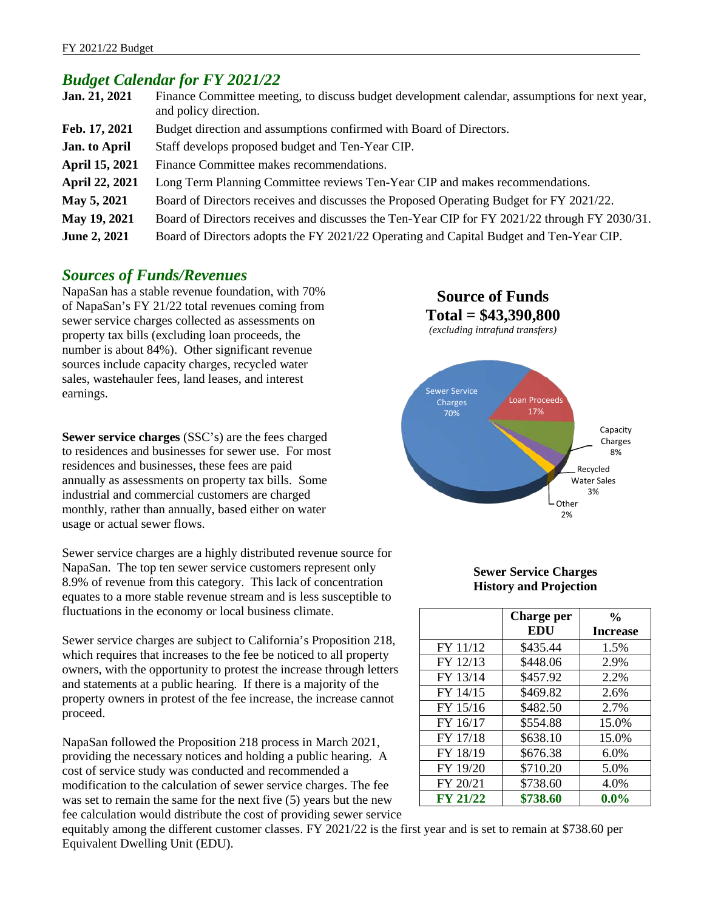## *Budget Calendar for FY 2021/22*

| Jan. 21, 2021        | Finance Committee meeting, to discuss budget development calendar, assumptions for next year,<br>and policy direction. |
|----------------------|------------------------------------------------------------------------------------------------------------------------|
| Feb. 17, 2021        | Budget direction and assumptions confirmed with Board of Directors.                                                    |
| <b>Jan.</b> to April | Staff develops proposed budget and Ten-Year CIP.                                                                       |
| April 15, 2021       | Finance Committee makes recommendations.                                                                               |
| April 22, 2021       | Long Term Planning Committee reviews Ten-Year CIP and makes recommendations.                                           |
| May 5, 2021          | Board of Directors receives and discusses the Proposed Operating Budget for FY 2021/22.                                |
| May 19, 2021         | Board of Directors receives and discusses the Ten-Year CIP for FY 2021/22 through FY 2030/31.                          |
| June 2, 2021         | Board of Directors adopts the FY 2021/22 Operating and Capital Budget and Ten-Year CIP.                                |

#### *Sources of Funds/Revenues*

NapaSan has a stable revenue foundation, with 70% of NapaSan's FY 21/22 total revenues coming from sewer service charges collected as assessments on property tax bills (excluding loan proceeds, the number is about 84%). Other significant revenue sources include capacity charges, recycled water sales, wastehauler fees, land leases, and interest earnings.

**Sewer service charges** (SSC's) are the fees charged to residences and businesses for sewer use. For most residences and businesses, these fees are paid annually as assessments on property tax bills. Some industrial and commercial customers are charged monthly, rather than annually, based either on water usage or actual sewer flows.

Sewer service charges are a highly distributed revenue source for NapaSan. The top ten sewer service customers represent only 8.9% of revenue from this category. This lack of concentration equates to a more stable revenue stream and is less susceptible to fluctuations in the economy or local business climate.

Sewer service charges are subject to California's Proposition 218, which requires that increases to the fee be noticed to all property owners, with the opportunity to protest the increase through letters and statements at a public hearing. If there is a majority of the property owners in protest of the fee increase, the increase cannot proceed.

NapaSan followed the Proposition 218 process in March 2021, providing the necessary notices and holding a public hearing. A cost of service study was conducted and recommended a modification to the calculation of sewer service charges. The fee was set to remain the same for the next five (5) years but the new fee calculation would distribute the cost of providing sewer service

**Source of Funds Total = \$43,390,800** *(excluding intrafund transfers)* Sewer Service Charges 70% Loan Proceeds 17% Capacity Charges

#### **Sewer Service Charges History and Projection**

8%

Recycled Water Sales 3%

Other 2%

|                 | <b>Charge per</b> | $\frac{0}{0}$   |
|-----------------|-------------------|-----------------|
|                 | EDU               | <b>Increase</b> |
| FY 11/12        | \$435.44          | 1.5%            |
| FY 12/13        | \$448.06          | 2.9%            |
| FY 13/14        | \$457.92          | 2.2%            |
| FY 14/15        | \$469.82          | 2.6%            |
| FY 15/16        | \$482.50          | 2.7%            |
| FY 16/17        | \$554.88          | 15.0%           |
| FY 17/18        | \$638.10          | 15.0%           |
| FY 18/19        | \$676.38          | 6.0%            |
| FY 19/20        | \$710.20          | 5.0%            |
| FY 20/21        | \$738.60          | 4.0%            |
| <b>FY 21/22</b> | \$738.60          | $0.0\%$         |

equitably among the different customer classes. FY 2021/22 is the first year and is set to remain at \$738.60 per Equivalent Dwelling Unit (EDU).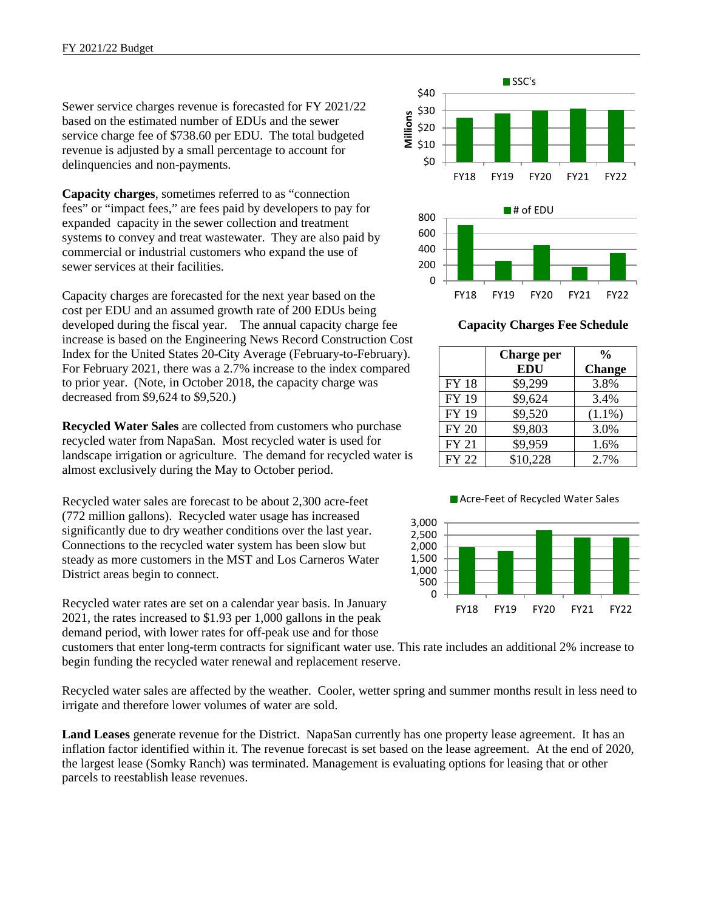Sewer service charges revenue is forecasted for FY 2021/22 based on the estimated number of EDUs and the sewer service charge fee of \$738.60 per EDU. The total budgeted revenue is adjusted by a small percentage to account for delinquencies and non-payments.

**Capacity charges**, sometimes referred to as "connection fees" or "impact fees," are fees paid by developers to pay for expanded capacity in the sewer collection and treatment systems to convey and treat wastewater. They are also paid by commercial or industrial customers who expand the use of sewer services at their facilities.

Capacity charges are forecasted for the next year based on the cost per EDU and an assumed growth rate of 200 EDUs being developed during the fiscal year. The annual capacity charge fee increase is based on the Engineering News Record Construction Cost Index for the United States 20-City Average (February-to-February). For February 2021, there was a 2.7% increase to the index compared to prior year. (Note, in October 2018, the capacity charge was decreased from \$9,624 to \$9,520.)

**Recycled Water Sales** are collected from customers who purchase recycled water from NapaSan. Most recycled water is used for landscape irrigation or agriculture. The demand for recycled water is almost exclusively during the May to October period.

Recycled water sales are forecast to be about 2,300 acre-feet (772 million gallons). Recycled water usage has increased significantly due to dry weather conditions over the last year. Connections to the recycled water system has been slow but steady as more customers in the MST and Los Carneros Water District areas begin to connect.

Recycled water rates are set on a calendar year basis. In January 2021, the rates increased to \$1.93 per 1,000 gallons in the peak demand period, with lower rates for off-peak use and for those

customers that enter long-term contracts for significant water use. This rate includes an additional 2% increase to begin funding the recycled water renewal and replacement reserve.

Recycled water sales are affected by the weather. Cooler, wetter spring and summer months result in less need to irrigate and therefore lower volumes of water are sold.

**Land Leases** generate revenue for the District. NapaSan currently has one property lease agreement. It has an inflation factor identified within it. The revenue forecast is set based on the lease agreement. At the end of 2020, the largest lease (Somky Ranch) was terminated. Management is evaluating options for leasing that or other parcels to reestablish lease revenues.



**Capacity Charges Fee Schedule**

|              | Charge per | $\frac{0}{0}$ |
|--------------|------------|---------------|
|              | <b>EDU</b> | <b>Change</b> |
| <b>FY18</b>  | \$9,299    | 3.8%          |
| <b>FY 19</b> | \$9,624    | 3.4%          |
| FY 19        | \$9,520    | $(1.1\%)$     |
| <b>FY 20</b> | \$9,803    | 3.0%          |
| <b>FY 21</b> | \$9,959    | 1.6%          |
| <b>FY 22</b> | \$10,228   | 2.7%          |



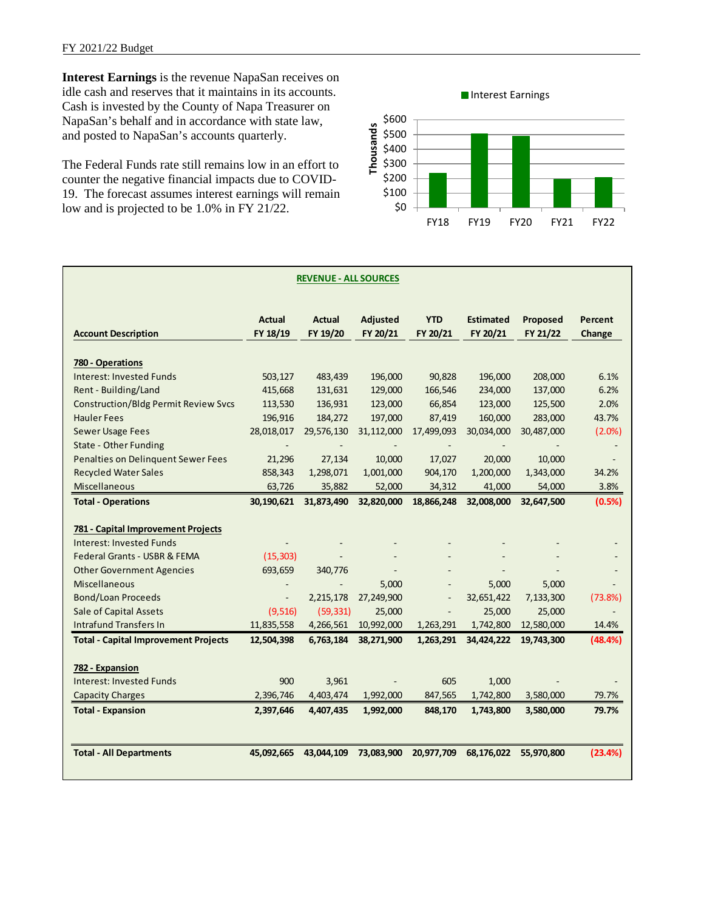**Interest Earnings** is the revenue NapaSan receives on idle cash and reserves that it maintains in its accounts. Cash is invested by the County of Napa Treasurer on NapaSan's behalf and in accordance with state law, and posted to NapaSan's accounts quarterly.

The Federal Funds rate still remains low in an effort to counter the negative financial impacts due to COVID-19. The forecast assumes interest earnings will remain low and is projected to be 1.0% in FY 21/22.



| <b>REVENUE - ALL SOURCES</b>                |                           |                           |                             |                          |                              |                      |                   |
|---------------------------------------------|---------------------------|---------------------------|-----------------------------|--------------------------|------------------------------|----------------------|-------------------|
| <b>Account Description</b>                  | <b>Actual</b><br>FY 18/19 | <b>Actual</b><br>FY 19/20 | <b>Adjusted</b><br>FY 20/21 | <b>YTD</b><br>FY 20/21   | <b>Estimated</b><br>FY 20/21 | Proposed<br>FY 21/22 | Percent<br>Change |
| 780 - Operations                            |                           |                           |                             |                          |                              |                      |                   |
| Interest: Invested Funds                    | 503,127                   | 483,439                   | 196,000                     | 90,828                   | 196,000                      | 208,000              | 6.1%              |
| Rent - Building/Land                        | 415,668                   | 131,631                   | 129,000                     | 166,546                  | 234,000                      | 137,000              | 6.2%              |
| <b>Construction/Bldg Permit Review Svcs</b> | 113,530                   | 136,931                   | 123,000                     | 66,854                   | 123,000                      | 125,500              | 2.0%              |
| <b>Hauler Fees</b>                          | 196,916                   | 184,272                   | 197,000                     | 87,419                   | 160,000                      | 283,000              | 43.7%             |
| <b>Sewer Usage Fees</b>                     | 28,018,017                | 29,576,130                | 31,112,000                  | 17,499,093               | 30,034,000                   | 30,487,000           | $(2.0\%)$         |
| <b>State - Other Funding</b>                | $\overline{\phantom{a}}$  |                           |                             | $\sim$                   |                              |                      |                   |
| Penalties on Delinquent Sewer Fees          | 21,296                    | 27,134                    | 10,000                      | 17,027                   | 20,000                       | 10,000               |                   |
| <b>Recycled Water Sales</b>                 | 858,343                   | 1,298,071                 | 1,001,000                   | 904,170                  | 1,200,000                    | 1,343,000            | 34.2%             |
| Miscellaneous                               | 63,726                    | 35,882                    | 52,000                      | 34,312                   | 41,000                       | 54,000               | 3.8%              |
| <b>Total - Operations</b>                   | 30,190,621                | 31,873,490                | 32,820,000                  | 18,866,248               | 32,008,000                   | 32,647,500           | (0.5%)            |
|                                             |                           |                           |                             |                          |                              |                      |                   |
| 781 - Capital Improvement Projects          |                           |                           |                             |                          |                              |                      |                   |
| <b>Interest: Invested Funds</b>             |                           |                           |                             |                          |                              |                      |                   |
| Federal Grants - USBR & FEMA                | (15, 303)                 |                           |                             |                          |                              |                      |                   |
| <b>Other Government Agencies</b>            | 693,659                   | 340,776                   |                             |                          |                              |                      |                   |
| <b>Miscellaneous</b>                        |                           |                           | 5,000                       |                          | 5,000                        | 5,000                |                   |
| <b>Bond/Loan Proceeds</b>                   | $\overline{\phantom{a}}$  | 2,215,178                 | 27,249,900                  | $\overline{\phantom{a}}$ | 32,651,422                   | 7,133,300            | (73.8%)           |
| Sale of Capital Assets                      | (9, 516)                  | (59, 331)                 | 25,000                      |                          | 25,000                       | 25,000               |                   |
| <b>Intrafund Transfers In</b>               | 11,835,558                | 4,266,561                 | 10,992,000                  | 1,263,291                | 1,742,800                    | 12,580,000           | 14.4%             |
| <b>Total - Capital Improvement Projects</b> | 12,504,398                | 6,763,184                 | 38,271,900                  | 1,263,291                | 34,424,222                   | 19,743,300           | (48.4%)           |
| 782 - Expansion                             |                           |                           |                             |                          |                              |                      |                   |
| Interest: Invested Funds                    | 900                       | 3,961                     |                             | 605                      | 1,000                        |                      |                   |
| <b>Capacity Charges</b>                     | 2,396,746                 | 4,403,474                 | 1,992,000                   | 847,565                  | 1,742,800                    | 3,580,000            | 79.7%             |
| <b>Total - Expansion</b>                    | 2,397,646                 | 4,407,435                 | 1,992,000                   | 848,170                  | 1,743,800                    | 3,580,000            | 79.7%             |
| <b>Total - All Departments</b>              | 45,092,665                | 43,044,109                | 73,083,900                  | 20,977,709               | 68,176,022                   | 55,970,800           | (23.4%)           |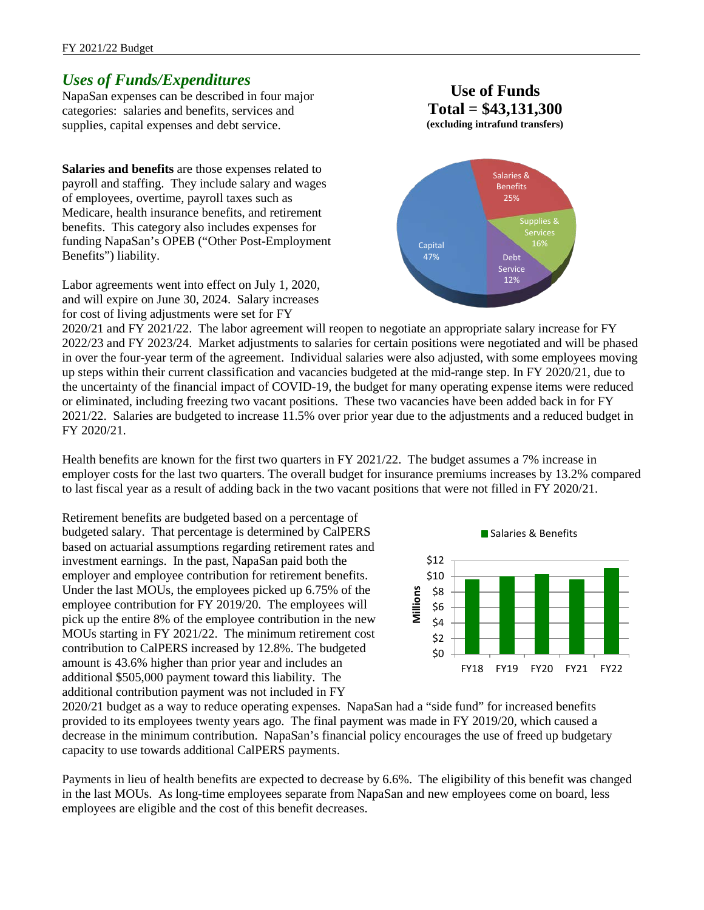#### FY 2021/22 Budget

### *Uses of Funds/Expenditures*

NapaSan expenses can be described in four major categories: salaries and benefits, services and supplies, capital expenses and debt service.

**Salaries and benefits** are those expenses related to payroll and staffing. They include salary and wages of employees, overtime, payroll taxes such as Medicare, health insurance benefits, and retirement benefits. This category also includes expenses for funding NapaSan's OPEB ("Other Post-Employment Benefits") liability.

Labor agreements went into effect on July 1, 2020, and will expire on June 30, 2024. Salary increases for cost of living adjustments were set for FY

**Use of Funds Total = \$43,131,300 (excluding intrafund transfers)**



2020/21 and FY 2021/22. The labor agreement will reopen to negotiate an appropriate salary increase for FY 2022/23 and FY 2023/24. Market adjustments to salaries for certain positions were negotiated and will be phased in over the four-year term of the agreement. Individual salaries were also adjusted, with some employees moving up steps within their current classification and vacancies budgeted at the mid-range step. In FY 2020/21, due to the uncertainty of the financial impact of COVID-19, the budget for many operating expense items were reduced or eliminated, including freezing two vacant positions. These two vacancies have been added back in for FY 2021/22. Salaries are budgeted to increase 11.5% over prior year due to the adjustments and a reduced budget in FY 2020/21.

Health benefits are known for the first two quarters in FY 2021/22. The budget assumes a 7% increase in employer costs for the last two quarters. The overall budget for insurance premiums increases by 13.2% compared to last fiscal year as a result of adding back in the two vacant positions that were not filled in FY 2020/21.

Retirement benefits are budgeted based on a percentage of budgeted salary. That percentage is determined by CalPERS based on actuarial assumptions regarding retirement rates and investment earnings. In the past, NapaSan paid both the employer and employee contribution for retirement benefits. Under the last MOUs, the employees picked up 6.75% of the employee contribution for FY 2019/20. The employees will pick up the entire 8% of the employee contribution in the new MOUs starting in FY 2021/22. The minimum retirement cost contribution to CalPERS increased by 12.8%. The budgeted amount is 43.6% higher than prior year and includes an additional \$505,000 payment toward this liability. The additional contribution payment was not included in FY



2020/21 budget as a way to reduce operating expenses. NapaSan had a "side fund" for increased benefits provided to its employees twenty years ago. The final payment was made in FY 2019/20, which caused a decrease in the minimum contribution. NapaSan's financial policy encourages the use of freed up budgetary capacity to use towards additional CalPERS payments.

Payments in lieu of health benefits are expected to decrease by 6.6%. The eligibility of this benefit was changed in the last MOUs. As long-time employees separate from NapaSan and new employees come on board, less employees are eligible and the cost of this benefit decreases.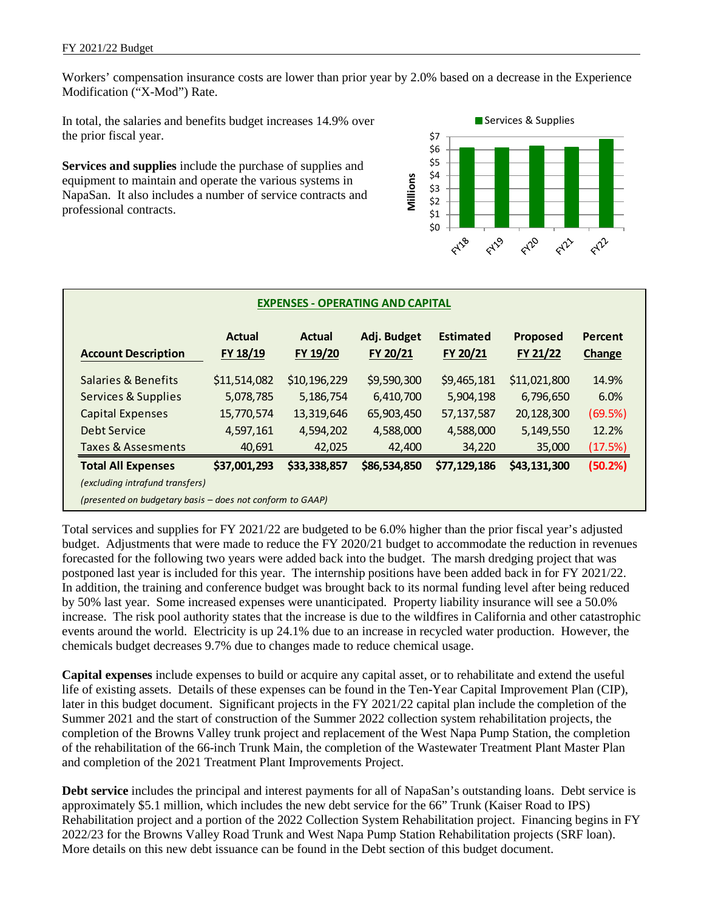Workers' compensation insurance costs are lower than prior year by 2.0% based on a decrease in the Experience Modification ("X-Mod") Rate.

In total, the salaries and benefits budget increases 14.9% over the prior fiscal year.

**Services and supplies** include the purchase of supplies and equipment to maintain and operate the various systems in NapaSan. It also includes a number of service contracts and professional contracts.



|                               | <b>Actual</b> | <b>Actual</b> | Adj. Budget  | <b>Estimated</b> | Proposed     | Percent       |
|-------------------------------|---------------|---------------|--------------|------------------|--------------|---------------|
| <b>Account Description</b>    | FY 18/19      | FY 19/20      | FY 20/21     | FY 20/21         | FY 21/22     | <b>Change</b> |
| Salaries & Benefits           | \$11,514,082  | \$10,196,229  | \$9,590,300  | \$9,465,181      | \$11,021,800 | 14.9%         |
| Services & Supplies           | 5,078,785     | 5,186,754     | 6,410,700    | 5,904,198        | 6,796,650    | 6.0%          |
| <b>Capital Expenses</b>       | 15,770,574    | 13,319,646    | 65,903,450   | 57,137,587       | 20,128,300   | (69.5%)       |
| Debt Service                  | 4,597,161     | 4,594,202     | 4,588,000    | 4,588,000        | 5,149,550    | 12.2%         |
| <b>Taxes &amp; Assesments</b> | 40,691        | 42,025        | 42,400       | 34,220           | 35,000       | (17.5%)       |
| <b>Total All Expenses</b>     | \$37,001,293  | \$33,338,857  | \$86,534,850 | \$77,129,186     | \$43,131,300 | (50.2%)       |

Total services and supplies for FY 2021/22 are budgeted to be 6.0% higher than the prior fiscal year's adjusted budget. Adjustments that were made to reduce the FY 2020/21 budget to accommodate the reduction in revenues forecasted for the following two years were added back into the budget. The marsh dredging project that was postponed last year is included for this year. The internship positions have been added back in for FY 2021/22. In addition, the training and conference budget was brought back to its normal funding level after being reduced by 50% last year. Some increased expenses were unanticipated. Property liability insurance will see a 50.0% increase. The risk pool authority states that the increase is due to the wildfires in California and other catastrophic events around the world. Electricity is up 24.1% due to an increase in recycled water production. However, the chemicals budget decreases 9.7% due to changes made to reduce chemical usage.

**Capital expenses** include expenses to build or acquire any capital asset, or to rehabilitate and extend the useful life of existing assets. Details of these expenses can be found in the Ten-Year Capital Improvement Plan (CIP), later in this budget document. Significant projects in the FY 2021/22 capital plan include the completion of the Summer 2021 and the start of construction of the Summer 2022 collection system rehabilitation projects, the completion of the Browns Valley trunk project and replacement of the West Napa Pump Station, the completion of the rehabilitation of the 66-inch Trunk Main, the completion of the Wastewater Treatment Plant Master Plan and completion of the 2021 Treatment Plant Improvements Project.

**Debt service** includes the principal and interest payments for all of NapaSan's outstanding loans. Debt service is approximately \$5.1 million, which includes the new debt service for the 66" Trunk (Kaiser Road to IPS) Rehabilitation project and a portion of the 2022 Collection System Rehabilitation project. Financing begins in FY 2022/23 for the Browns Valley Road Trunk and West Napa Pump Station Rehabilitation projects (SRF loan). More details on this new debt issuance can be found in the Debt section of this budget document.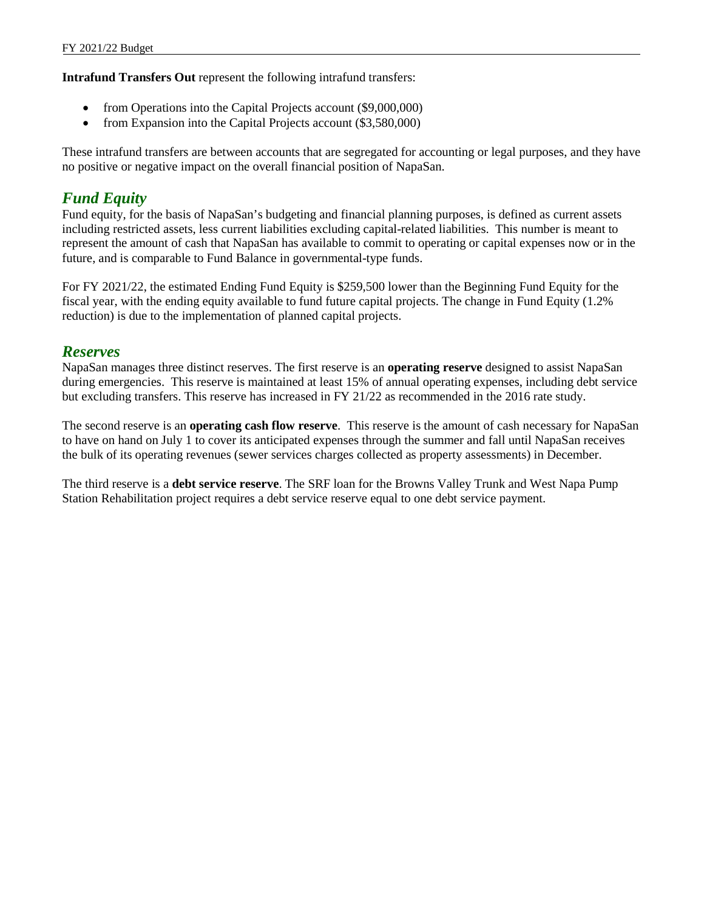**Intrafund Transfers Out** represent the following intrafund transfers:

- from Operations into the Capital Projects account (\$9,000,000)
- from Expansion into the Capital Projects account (\$3,580,000)

These intrafund transfers are between accounts that are segregated for accounting or legal purposes, and they have no positive or negative impact on the overall financial position of NapaSan.

### *Fund Equity*

Fund equity, for the basis of NapaSan's budgeting and financial planning purposes, is defined as current assets including restricted assets, less current liabilities excluding capital-related liabilities. This number is meant to represent the amount of cash that NapaSan has available to commit to operating or capital expenses now or in the future, and is comparable to Fund Balance in governmental-type funds.

For FY 2021/22, the estimated Ending Fund Equity is \$259,500 lower than the Beginning Fund Equity for the fiscal year, with the ending equity available to fund future capital projects. The change in Fund Equity (1.2% reduction) is due to the implementation of planned capital projects.

#### *Reserves*

NapaSan manages three distinct reserves. The first reserve is an **operating reserve** designed to assist NapaSan during emergencies. This reserve is maintained at least 15% of annual operating expenses, including debt service but excluding transfers. This reserve has increased in FY 21/22 as recommended in the 2016 rate study.

The second reserve is an **operating cash flow reserve**. This reserve is the amount of cash necessary for NapaSan to have on hand on July 1 to cover its anticipated expenses through the summer and fall until NapaSan receives the bulk of its operating revenues (sewer services charges collected as property assessments) in December.

The third reserve is a **debt service reserve**. The SRF loan for the Browns Valley Trunk and West Napa Pump Station Rehabilitation project requires a debt service reserve equal to one debt service payment.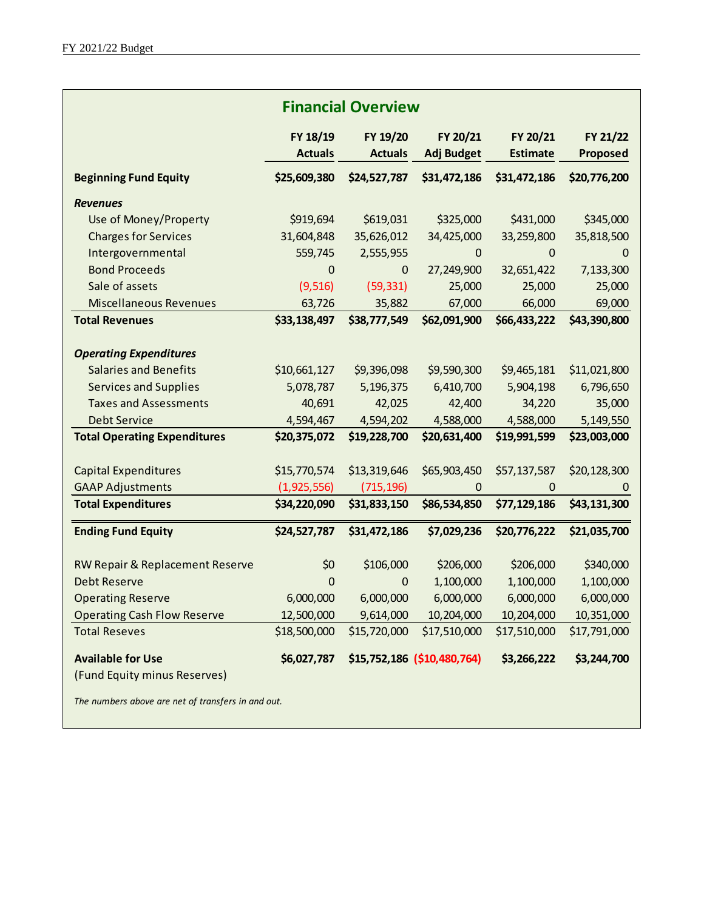| <b>Financial Overview</b>           |                            |                            |                               |                             |                             |  |  |
|-------------------------------------|----------------------------|----------------------------|-------------------------------|-----------------------------|-----------------------------|--|--|
|                                     | FY 18/19<br><b>Actuals</b> | FY 19/20<br><b>Actuals</b> | FY 20/21<br><b>Adj Budget</b> | FY 20/21<br><b>Estimate</b> | FY 21/22<br><b>Proposed</b> |  |  |
| <b>Beginning Fund Equity</b>        | \$25,609,380               | \$24,527,787               | \$31,472,186                  | \$31,472,186                | \$20,776,200                |  |  |
| <b>Revenues</b>                     |                            |                            |                               |                             |                             |  |  |
| Use of Money/Property               | \$919,694                  | \$619,031                  | \$325,000                     | \$431,000                   | \$345,000                   |  |  |
| <b>Charges for Services</b>         | 31,604,848                 | 35,626,012                 | 34,425,000                    | 33,259,800                  | 35,818,500                  |  |  |
| Intergovernmental                   | 559,745                    | 2,555,955                  | $\pmb{0}$                     | $\pmb{0}$                   | $\mathbf 0$                 |  |  |
| <b>Bond Proceeds</b>                | $\mathbf 0$                | $\pmb{0}$                  | 27,249,900                    | 32,651,422                  | 7,133,300                   |  |  |
| Sale of assets                      | (9, 516)                   | (59, 331)                  | 25,000                        | 25,000                      | 25,000                      |  |  |
| <b>Miscellaneous Revenues</b>       | 63,726                     | 35,882                     | 67,000                        | 66,000                      | 69,000                      |  |  |
| <b>Total Revenues</b>               | \$33,138,497               | \$38,777,549               | \$62,091,900                  | \$66,433,222                | \$43,390,800                |  |  |
|                                     |                            |                            |                               |                             |                             |  |  |
| <b>Operating Expenditures</b>       |                            |                            |                               |                             |                             |  |  |
| <b>Salaries and Benefits</b>        | \$10,661,127               | \$9,396,098                | \$9,590,300                   | \$9,465,181                 | \$11,021,800                |  |  |
| <b>Services and Supplies</b>        | 5,078,787                  | 5,196,375                  | 6,410,700                     | 5,904,198                   | 6,796,650                   |  |  |
| <b>Taxes and Assessments</b>        | 40,691                     | 42,025                     | 42,400                        | 34,220                      | 35,000                      |  |  |
| <b>Debt Service</b>                 | 4,594,467                  | 4,594,202                  | 4,588,000                     | 4,588,000                   | 5,149,550                   |  |  |
| <b>Total Operating Expenditures</b> | \$20,375,072               | \$19,228,700               | \$20,631,400                  | \$19,991,599                | \$23,003,000                |  |  |
|                                     |                            |                            |                               |                             |                             |  |  |
| <b>Capital Expenditures</b>         | \$15,770,574               | \$13,319,646               | \$65,903,450                  | \$57,137,587                | \$20,128,300                |  |  |
| <b>GAAP Adjustments</b>             | (1,925,556)                | (715, 196)                 | $\pmb{0}$                     | $\pmb{0}$                   | 0                           |  |  |
| <b>Total Expenditures</b>           | \$34,220,090               | \$31,833,150               | \$86,534,850                  | \$77,129,186                | \$43,131,300                |  |  |
| <b>Ending Fund Equity</b>           | \$24,527,787               | \$31,472,186               | \$7,029,236                   | \$20,776,222                | \$21,035,700                |  |  |
| RW Repair & Replacement Reserve     | \$0                        | \$106,000                  | \$206,000                     | \$206,000                   | \$340,000                   |  |  |
| Debt Reserve                        | $\Omega$                   | 0                          | 1,100,000                     | 1,100,000                   | 1,100,000                   |  |  |
| <b>Operating Reserve</b>            | 6,000,000                  | 6,000,000                  | 6,000,000                     | 6,000,000                   | 6,000,000                   |  |  |
| <b>Operating Cash Flow Reserve</b>  | 12,500,000                 | 9,614,000                  | 10,204,000                    | 10,204,000                  | 10,351,000                  |  |  |
| <b>Total Reseves</b>                | \$18,500,000               | \$15,720,000               | \$17,510,000                  | \$17,510,000                | \$17,791,000                |  |  |
| <b>Available for Use</b>            | \$6,027,787                |                            | \$15,752,186 (\$10,480,764)   | \$3,266,222                 | \$3,244,700                 |  |  |
| (Fund Equity minus Reserves)        |                            |                            |                               |                             |                             |  |  |
|                                     |                            |                            |                               |                             |                             |  |  |

*The numbers above are net of transfers in and out.*